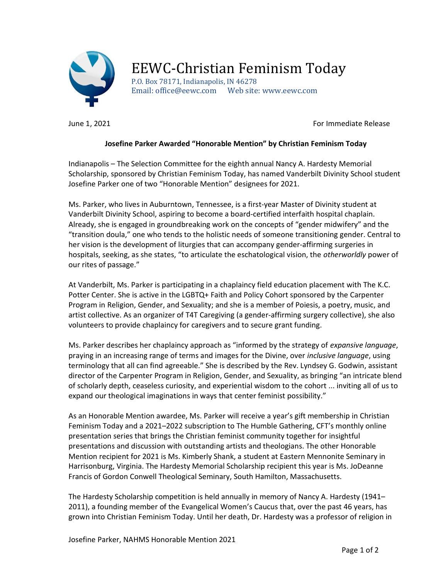

## EEWC-Christian Feminism Today

P.O. Box 78171, Indianapolis, IN 46278 Email: office@eewc.com Web site: www.eewc.com

June 1, 2021 **For Immediate Release** 

## Josefine Parker Awarded "Honorable Mention" by Christian Feminism Today

Indianapolis – The Selection Committee for the eighth annual Nancy A. Hardesty Memorial Scholarship, sponsored by Christian Feminism Today, has named Vanderbilt Divinity School student Josefine Parker one of two "Honorable Mention" designees for 2021.

Ms. Parker, who lives in Auburntown, Tennessee, is a first-year Master of Divinity student at Vanderbilt Divinity School, aspiring to become a board-certified interfaith hospital chaplain. Already, she is engaged in groundbreaking work on the concepts of "gender midwifery" and the "transition doula," one who tends to the holistic needs of someone transitioning gender. Central to her vision is the development of liturgies that can accompany gender-affirming surgeries in hospitals, seeking, as she states, "to articulate the eschatological vision, the *otherworldly* power of our rites of passage."

At Vanderbilt, Ms. Parker is participating in a chaplaincy field education placement with The K.C. Potter Center. She is active in the LGBTQ+ Faith and Policy Cohort sponsored by the Carpenter Program in Religion, Gender, and Sexuality; and she is a member of Poiesis, a poetry, music, and artist collective. As an organizer of T4T Caregiving (a gender-affirming surgery collective), she also volunteers to provide chaplaincy for caregivers and to secure grant funding.

Ms. Parker describes her chaplaincy approach as "informed by the strategy of expansive language, praying in an increasing range of terms and images for the Divine, over *inclusive language*, using terminology that all can find agreeable." She is described by the Rev. Lyndsey G. Godwin, assistant director of the Carpenter Program in Religion, Gender, and Sexuality, as bringing "an intricate blend of scholarly depth, ceaseless curiosity, and experiential wisdom to the cohort ... inviting all of us to expand our theological imaginations in ways that center feminist possibility."

As an Honorable Mention awardee, Ms. Parker will receive a year's gift membership in Christian Feminism Today and a 2021–2022 subscription to The Humble Gathering, CFT's monthly online presentation series that brings the Christian feminist community together for insightful presentations and discussion with outstanding artists and theologians. The other Honorable Mention recipient for 2021 is Ms. Kimberly Shank, a student at Eastern Mennonite Seminary in Harrisonburg, Virginia. The Hardesty Memorial Scholarship recipient this year is Ms. JoDeanne Francis of Gordon Conwell Theological Seminary, South Hamilton, Massachusetts.

The Hardesty Scholarship competition is held annually in memory of Nancy A. Hardesty (1941– 2011), a founding member of the Evangelical Women's Caucus that, over the past 46 years, has grown into Christian Feminism Today. Until her death, Dr. Hardesty was a professor of religion in